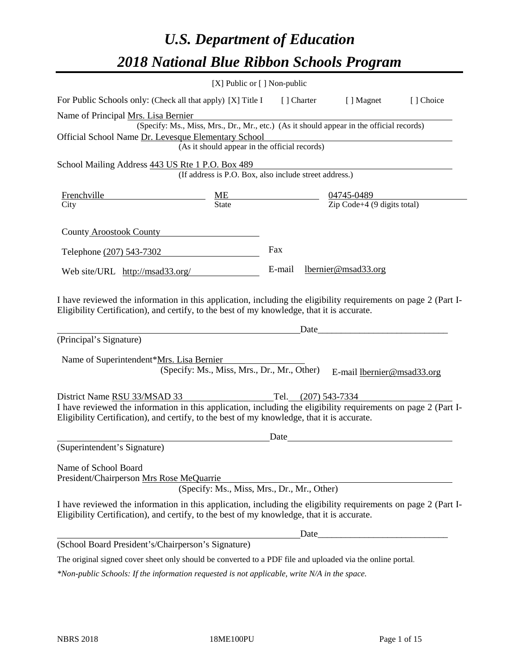# *U.S. Department of Education 2018 National Blue Ribbon Schools Program*

|                                                                                                                                                                                                              | [X] Public or [] Non-public                            |                     |                                                                                                              |           |
|--------------------------------------------------------------------------------------------------------------------------------------------------------------------------------------------------------------|--------------------------------------------------------|---------------------|--------------------------------------------------------------------------------------------------------------|-----------|
| For Public Schools only: (Check all that apply) [X] Title I                                                                                                                                                  |                                                        | [ ] Charter         | [ ] Magnet                                                                                                   | [] Choice |
| Name of Principal Mrs. Lisa Bernier                                                                                                                                                                          |                                                        |                     |                                                                                                              |           |
|                                                                                                                                                                                                              |                                                        |                     | IS. LISA DEFINET<br>(Specify: Ms., Miss, Mrs., Dr., Mr., etc.) (As it should appear in the official records) |           |
| Official School Name Dr. Levesque Elementary School                                                                                                                                                          |                                                        |                     |                                                                                                              |           |
|                                                                                                                                                                                                              | (As it should appear in the official records)          |                     |                                                                                                              |           |
| School Mailing Address 443 US Rte 1 P.O. Box 489                                                                                                                                                             |                                                        |                     |                                                                                                              |           |
|                                                                                                                                                                                                              | (If address is P.O. Box, also include street address.) |                     |                                                                                                              |           |
| <b>Frenchville</b>                                                                                                                                                                                           |                                                        |                     |                                                                                                              |           |
| City                                                                                                                                                                                                         | $rac{ME}{State}$                                       |                     | $\frac{04745-0489}{\text{Zip Code}+4 (9 digits total)}$                                                      |           |
|                                                                                                                                                                                                              |                                                        |                     |                                                                                                              |           |
| <b>County Aroostook County</b>                                                                                                                                                                               |                                                        |                     |                                                                                                              |           |
| Telephone (207) 543-7302                                                                                                                                                                                     |                                                        | Fax                 |                                                                                                              |           |
|                                                                                                                                                                                                              |                                                        | E-mail              | lbernier@msad33.org                                                                                          |           |
| Web site/URL http://msad33.org/                                                                                                                                                                              |                                                        |                     |                                                                                                              |           |
| I have reviewed the information in this application, including the eligibility requirements on page 2 (Part I-<br>Eligibility Certification), and certify, to the best of my knowledge, that it is accurate. |                                                        |                     |                                                                                                              |           |
| (Principal's Signature)                                                                                                                                                                                      |                                                        | Date                |                                                                                                              |           |
|                                                                                                                                                                                                              |                                                        |                     |                                                                                                              |           |
| Name of Superintendent*Mrs. Lisa Bernier                                                                                                                                                                     |                                                        |                     |                                                                                                              |           |
|                                                                                                                                                                                                              | (Specify: Ms., Miss, Mrs., Dr., Mr., Other)            |                     | E-mail lbernier@msad33.org                                                                                   |           |
| District Name RSU 33/MSAD 33                                                                                                                                                                                 |                                                        | Tel. (207) 543-7334 |                                                                                                              |           |
| I have reviewed the information in this application, including the eligibility requirements on page 2 (Part I-                                                                                               |                                                        |                     |                                                                                                              |           |
| Eligibility Certification), and certify, to the best of my knowledge, that it is accurate.                                                                                                                   |                                                        |                     |                                                                                                              |           |
|                                                                                                                                                                                                              |                                                        | Date                |                                                                                                              |           |
| (Superintendent's Signature)                                                                                                                                                                                 |                                                        |                     |                                                                                                              |           |
| Name of School Board                                                                                                                                                                                         |                                                        |                     |                                                                                                              |           |
| President/Chairperson Mrs Rose MeQuarrie                                                                                                                                                                     |                                                        |                     |                                                                                                              |           |
|                                                                                                                                                                                                              | (Specify: Ms., Miss, Mrs., Dr., Mr., Other)            |                     |                                                                                                              |           |
| I have reviewed the information in this application, including the eligibility requirements on page 2 (Part I-<br>Eligibility Certification), and certify, to the best of my knowledge, that it is accurate. |                                                        |                     |                                                                                                              |           |
|                                                                                                                                                                                                              |                                                        | Date_               |                                                                                                              |           |
| (School Board President's/Chairperson's Signature)                                                                                                                                                           |                                                        |                     |                                                                                                              |           |
| The original signed cover sheet only should be converted to a PDF file and uploaded via the online portal.                                                                                                   |                                                        |                     |                                                                                                              |           |

*\*Non-public Schools: If the information requested is not applicable, write N/A in the space.*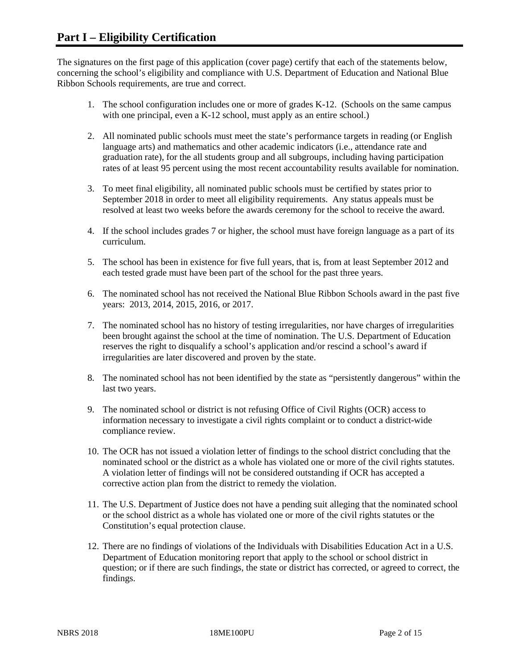The signatures on the first page of this application (cover page) certify that each of the statements below, concerning the school's eligibility and compliance with U.S. Department of Education and National Blue Ribbon Schools requirements, are true and correct.

- 1. The school configuration includes one or more of grades K-12. (Schools on the same campus with one principal, even a K-12 school, must apply as an entire school.)
- 2. All nominated public schools must meet the state's performance targets in reading (or English language arts) and mathematics and other academic indicators (i.e., attendance rate and graduation rate), for the all students group and all subgroups, including having participation rates of at least 95 percent using the most recent accountability results available for nomination.
- 3. To meet final eligibility, all nominated public schools must be certified by states prior to September 2018 in order to meet all eligibility requirements. Any status appeals must be resolved at least two weeks before the awards ceremony for the school to receive the award.
- 4. If the school includes grades 7 or higher, the school must have foreign language as a part of its curriculum.
- 5. The school has been in existence for five full years, that is, from at least September 2012 and each tested grade must have been part of the school for the past three years.
- 6. The nominated school has not received the National Blue Ribbon Schools award in the past five years: 2013, 2014, 2015, 2016, or 2017.
- 7. The nominated school has no history of testing irregularities, nor have charges of irregularities been brought against the school at the time of nomination. The U.S. Department of Education reserves the right to disqualify a school's application and/or rescind a school's award if irregularities are later discovered and proven by the state.
- 8. The nominated school has not been identified by the state as "persistently dangerous" within the last two years.
- 9. The nominated school or district is not refusing Office of Civil Rights (OCR) access to information necessary to investigate a civil rights complaint or to conduct a district-wide compliance review.
- 10. The OCR has not issued a violation letter of findings to the school district concluding that the nominated school or the district as a whole has violated one or more of the civil rights statutes. A violation letter of findings will not be considered outstanding if OCR has accepted a corrective action plan from the district to remedy the violation.
- 11. The U.S. Department of Justice does not have a pending suit alleging that the nominated school or the school district as a whole has violated one or more of the civil rights statutes or the Constitution's equal protection clause.
- 12. There are no findings of violations of the Individuals with Disabilities Education Act in a U.S. Department of Education monitoring report that apply to the school or school district in question; or if there are such findings, the state or district has corrected, or agreed to correct, the findings.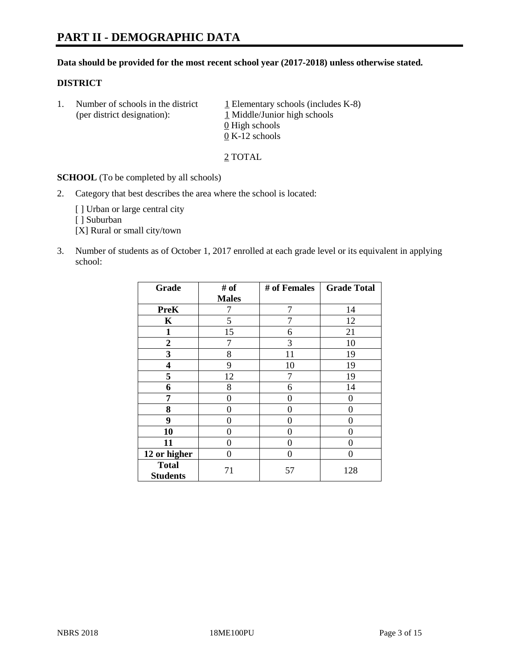# **PART II - DEMOGRAPHIC DATA**

#### **Data should be provided for the most recent school year (2017-2018) unless otherwise stated.**

#### **DISTRICT**

1. Number of schools in the district  $1$  Elementary schools (includes K-8) (per district designation): 1 Middle/Junior high schools 0 High schools 0 K-12 schools

2 TOTAL

**SCHOOL** (To be completed by all schools)

2. Category that best describes the area where the school is located:

[] Urban or large central city

[ ] Suburban

[X] Rural or small city/town

3. Number of students as of October 1, 2017 enrolled at each grade level or its equivalent in applying school:

| Grade                           | # of         | # of Females | <b>Grade Total</b> |
|---------------------------------|--------------|--------------|--------------------|
|                                 | <b>Males</b> |              |                    |
| <b>PreK</b>                     | 7            | 7            | 14                 |
| K                               | 5            | 7            | 12                 |
| $\mathbf{1}$                    | 15           | 6            | 21                 |
| $\overline{2}$                  | 7            | 3            | 10                 |
| 3                               | 8            | 11           | 19                 |
| $\overline{\mathbf{4}}$         | 9            | 10           | 19                 |
| 5                               | 12           | 7            | 19                 |
| 6                               | 8            | 6            | 14                 |
| 7                               | 0            | 0            | 0                  |
| 8                               | 0            | 0            | 0                  |
| 9                               | 0            | 0            | 0                  |
| 10                              | 0            | 0            | 0                  |
| 11                              | 0            | 0            | 0                  |
| 12 or higher                    | 0            | 0            | 0                  |
| <b>Total</b><br><b>Students</b> | 71           | 57           | 128                |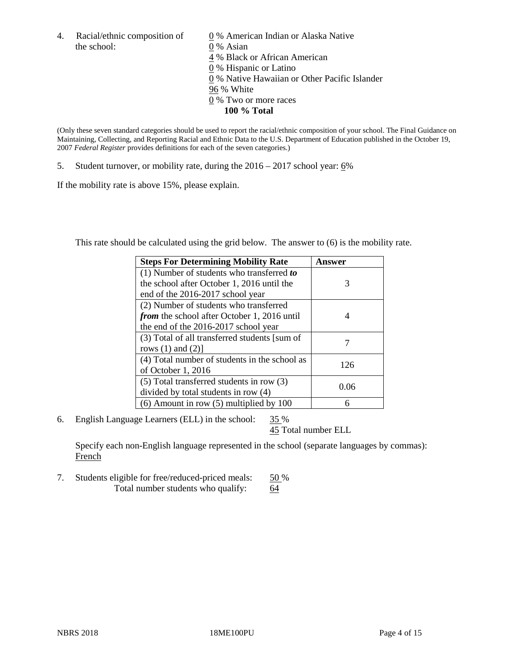the school: 0 % Asian

4. Racial/ethnic composition of  $\qquad 0\%$  American Indian or Alaska Native 4 % Black or African American 0 % Hispanic or Latino 0 % Native Hawaiian or Other Pacific Islander 96 % White 0 % Two or more races **100 % Total**

(Only these seven standard categories should be used to report the racial/ethnic composition of your school. The Final Guidance on Maintaining, Collecting, and Reporting Racial and Ethnic Data to the U.S. Department of Education published in the October 19, 2007 *Federal Register* provides definitions for each of the seven categories.)

5. Student turnover, or mobility rate, during the 2016 – 2017 school year: 6%

If the mobility rate is above 15%, please explain.

This rate should be calculated using the grid below. The answer to (6) is the mobility rate.

| <b>Steps For Determining Mobility Rate</b>         | Answer |
|----------------------------------------------------|--------|
| $(1)$ Number of students who transferred to        |        |
| the school after October 1, 2016 until the         | 3      |
| end of the 2016-2017 school year                   |        |
| (2) Number of students who transferred             |        |
| <i>from</i> the school after October 1, 2016 until | 4      |
| the end of the 2016-2017 school year               |        |
| (3) Total of all transferred students [sum of      |        |
| rows $(1)$ and $(2)$ ]                             |        |
| (4) Total number of students in the school as      |        |
| of October 1, 2016                                 | 126    |
| (5) Total transferred students in row (3)          |        |
| divided by total students in row (4)               | 0.06   |
| $(6)$ Amount in row $(5)$ multiplied by 100        | 6      |

6. English Language Learners (ELL) in the school:  $35\%$ 

45 Total number ELL

Specify each non-English language represented in the school (separate languages by commas): **French** 

7. Students eligible for free/reduced-priced meals: 50 % Total number students who qualify: 64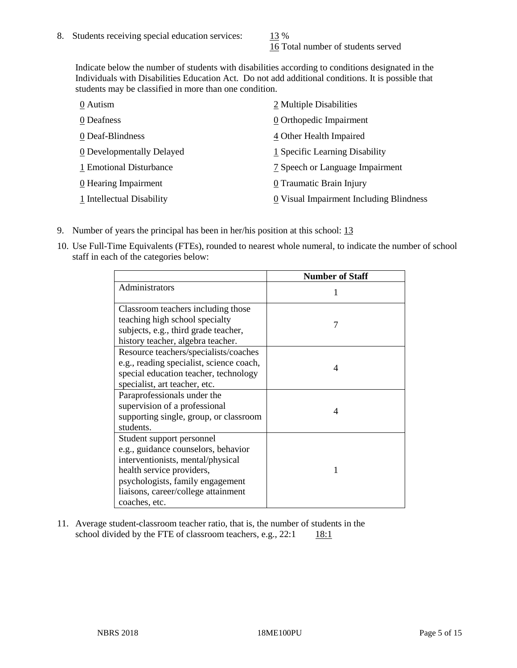16 Total number of students served

Indicate below the number of students with disabilities according to conditions designated in the Individuals with Disabilities Education Act. Do not add additional conditions. It is possible that students may be classified in more than one condition.

| 0 Autism                  | 2 Multiple Disabilities                 |
|---------------------------|-----------------------------------------|
| 0 Deafness                | 0 Orthopedic Impairment                 |
| 0 Deaf-Blindness          | 4 Other Health Impaired                 |
| 0 Developmentally Delayed | 1 Specific Learning Disability          |
| 1 Emotional Disturbance   | 7 Speech or Language Impairment         |
| 0 Hearing Impairment      | 0 Traumatic Brain Injury                |
| 1 Intellectual Disability | 0 Visual Impairment Including Blindness |

- 9. Number of years the principal has been in her/his position at this school: 13
- 10. Use Full-Time Equivalents (FTEs), rounded to nearest whole numeral, to indicate the number of school staff in each of the categories below:

|                                                                                                                                                                                                                                | <b>Number of Staff</b> |
|--------------------------------------------------------------------------------------------------------------------------------------------------------------------------------------------------------------------------------|------------------------|
| Administrators                                                                                                                                                                                                                 |                        |
| Classroom teachers including those<br>teaching high school specialty<br>subjects, e.g., third grade teacher,<br>history teacher, algebra teacher.                                                                              | 7                      |
| Resource teachers/specialists/coaches<br>e.g., reading specialist, science coach,<br>special education teacher, technology<br>specialist, art teacher, etc.                                                                    | 4                      |
| Paraprofessionals under the<br>supervision of a professional<br>supporting single, group, or classroom<br>students.                                                                                                            | 4                      |
| Student support personnel<br>e.g., guidance counselors, behavior<br>interventionists, mental/physical<br>health service providers,<br>psychologists, family engagement<br>liaisons, career/college attainment<br>coaches, etc. |                        |

11. Average student-classroom teacher ratio, that is, the number of students in the school divided by the FTE of classroom teachers, e.g.,  $22:1$  18:1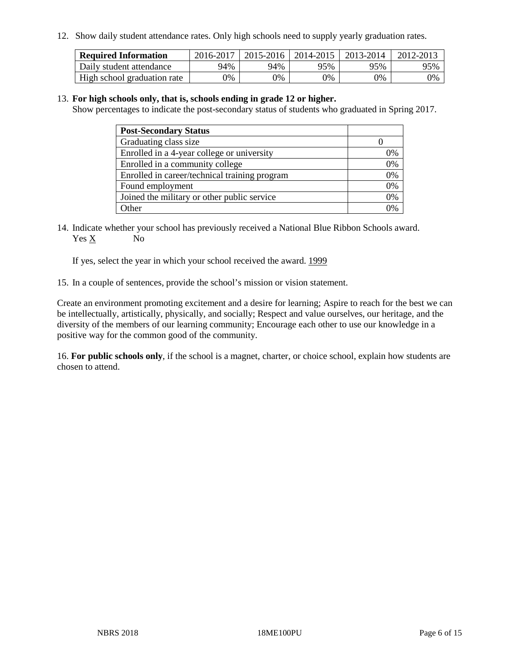12. Show daily student attendance rates. Only high schools need to supply yearly graduation rates.

| <b>Required Information</b> | 2016-2017 | $2015 - 2016$ | 2014-2015 | 2013-2014 | 2012-2013 |
|-----------------------------|-----------|---------------|-----------|-----------|-----------|
| Daily student attendance    | 94%       | 94%           | 95%       | 95%       | 95%       |
| High school graduation rate | 0%        | 0%            | 0%        | 9%        | 0%        |

#### 13. **For high schools only, that is, schools ending in grade 12 or higher.**

Show percentages to indicate the post-secondary status of students who graduated in Spring 2017.

| <b>Post-Secondary Status</b>                  |    |
|-----------------------------------------------|----|
| Graduating class size                         |    |
| Enrolled in a 4-year college or university    | 0% |
| Enrolled in a community college               | 0% |
| Enrolled in career/technical training program | 0% |
| Found employment                              | 0% |
| Joined the military or other public service   | 0% |
| Other                                         | ገ% |

14. Indicate whether your school has previously received a National Blue Ribbon Schools award. Yes X No

If yes, select the year in which your school received the award. 1999

15. In a couple of sentences, provide the school's mission or vision statement.

Create an environment promoting excitement and a desire for learning; Aspire to reach for the best we can be intellectually, artistically, physically, and socially; Respect and value ourselves, our heritage, and the diversity of the members of our learning community; Encourage each other to use our knowledge in a positive way for the common good of the community.

16. **For public schools only**, if the school is a magnet, charter, or choice school, explain how students are chosen to attend.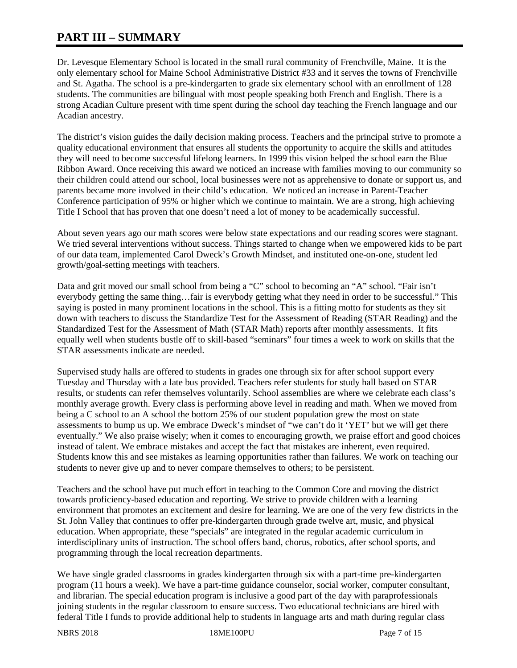# **PART III – SUMMARY**

Dr. Levesque Elementary School is located in the small rural community of Frenchville, Maine. It is the only elementary school for Maine School Administrative District #33 and it serves the towns of Frenchville and St. Agatha. The school is a pre-kindergarten to grade six elementary school with an enrollment of 128 students. The communities are bilingual with most people speaking both French and English. There is a strong Acadian Culture present with time spent during the school day teaching the French language and our Acadian ancestry.

The district's vision guides the daily decision making process. Teachers and the principal strive to promote a quality educational environment that ensures all students the opportunity to acquire the skills and attitudes they will need to become successful lifelong learners. In 1999 this vision helped the school earn the Blue Ribbon Award. Once receiving this award we noticed an increase with families moving to our community so their children could attend our school, local businesses were not as apprehensive to donate or support us, and parents became more involved in their child's education. We noticed an increase in Parent-Teacher Conference participation of 95% or higher which we continue to maintain. We are a strong, high achieving Title I School that has proven that one doesn't need a lot of money to be academically successful.

About seven years ago our math scores were below state expectations and our reading scores were stagnant. We tried several interventions without success. Things started to change when we empowered kids to be part of our data team, implemented Carol Dweck's Growth Mindset, and instituted one-on-one, student led growth/goal-setting meetings with teachers.

Data and grit moved our small school from being a "C" school to becoming an "A" school. "Fair isn't everybody getting the same thing…fair is everybody getting what they need in order to be successful." This saying is posted in many prominent locations in the school. This is a fitting motto for students as they sit down with teachers to discuss the Standardize Test for the Assessment of Reading (STAR Reading) and the Standardized Test for the Assessment of Math (STAR Math) reports after monthly assessments. It fits equally well when students bustle off to skill-based "seminars" four times a week to work on skills that the STAR assessments indicate are needed.

Supervised study halls are offered to students in grades one through six for after school support every Tuesday and Thursday with a late bus provided. Teachers refer students for study hall based on STAR results, or students can refer themselves voluntarily. School assemblies are where we celebrate each class's monthly average growth. Every class is performing above level in reading and math. When we moved from being a C school to an A school the bottom 25% of our student population grew the most on state assessments to bump us up. We embrace Dweck's mindset of "we can't do it 'YET' but we will get there eventually." We also praise wisely; when it comes to encouraging growth, we praise effort and good choices instead of talent. We embrace mistakes and accept the fact that mistakes are inherent, even required. Students know this and see mistakes as learning opportunities rather than failures. We work on teaching our students to never give up and to never compare themselves to others; to be persistent.

Teachers and the school have put much effort in teaching to the Common Core and moving the district towards proficiency-based education and reporting. We strive to provide children with a learning environment that promotes an excitement and desire for learning. We are one of the very few districts in the St. John Valley that continues to offer pre-kindergarten through grade twelve art, music, and physical education. When appropriate, these "specials" are integrated in the regular academic curriculum in interdisciplinary units of instruction. The school offers band, chorus, robotics, after school sports, and programming through the local recreation departments.

We have single graded classrooms in grades kindergarten through six with a part-time pre-kindergarten program (11 hours a week). We have a part-time guidance counselor, social worker, computer consultant, and librarian. The special education program is inclusive a good part of the day with paraprofessionals joining students in the regular classroom to ensure success. Two educational technicians are hired with federal Title I funds to provide additional help to students in language arts and math during regular class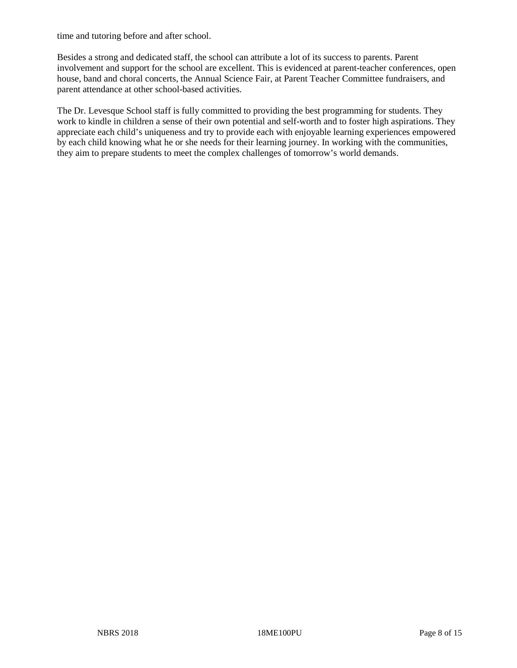time and tutoring before and after school.

Besides a strong and dedicated staff, the school can attribute a lot of its success to parents. Parent involvement and support for the school are excellent. This is evidenced at parent-teacher conferences, open house, band and choral concerts, the Annual Science Fair, at Parent Teacher Committee fundraisers, and parent attendance at other school-based activities.

The Dr. Levesque School staff is fully committed to providing the best programming for students. They work to kindle in children a sense of their own potential and self-worth and to foster high aspirations. They appreciate each child's uniqueness and try to provide each with enjoyable learning experiences empowered by each child knowing what he or she needs for their learning journey. In working with the communities, they aim to prepare students to meet the complex challenges of tomorrow's world demands.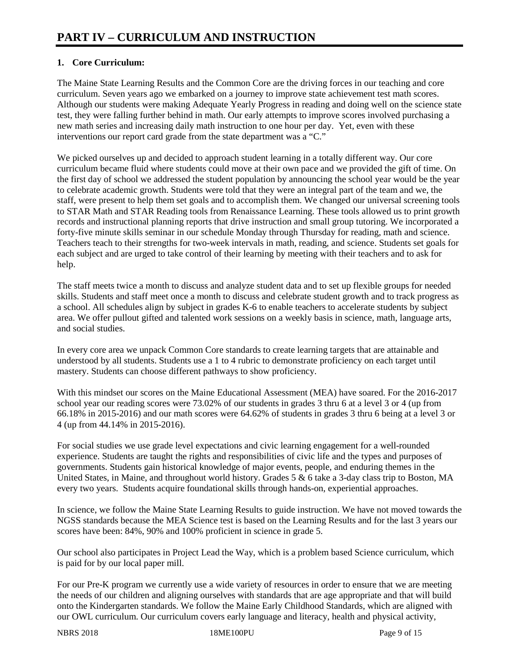# **1. Core Curriculum:**

The Maine State Learning Results and the Common Core are the driving forces in our teaching and core curriculum. Seven years ago we embarked on a journey to improve state achievement test math scores. Although our students were making Adequate Yearly Progress in reading and doing well on the science state test, they were falling further behind in math. Our early attempts to improve scores involved purchasing a new math series and increasing daily math instruction to one hour per day. Yet, even with these interventions our report card grade from the state department was a "C."

We picked ourselves up and decided to approach student learning in a totally different way. Our core curriculum became fluid where students could move at their own pace and we provided the gift of time. On the first day of school we addressed the student population by announcing the school year would be the year to celebrate academic growth. Students were told that they were an integral part of the team and we, the staff, were present to help them set goals and to accomplish them. We changed our universal screening tools to STAR Math and STAR Reading tools from Renaissance Learning. These tools allowed us to print growth records and instructional planning reports that drive instruction and small group tutoring. We incorporated a forty-five minute skills seminar in our schedule Monday through Thursday for reading, math and science. Teachers teach to their strengths for two-week intervals in math, reading, and science. Students set goals for each subject and are urged to take control of their learning by meeting with their teachers and to ask for help.

The staff meets twice a month to discuss and analyze student data and to set up flexible groups for needed skills. Students and staff meet once a month to discuss and celebrate student growth and to track progress as a school. All schedules align by subject in grades K-6 to enable teachers to accelerate students by subject area. We offer pullout gifted and talented work sessions on a weekly basis in science, math, language arts, and social studies.

In every core area we unpack Common Core standards to create learning targets that are attainable and understood by all students. Students use a 1 to 4 rubric to demonstrate proficiency on each target until mastery. Students can choose different pathways to show proficiency.

With this mindset our scores on the Maine Educational Assessment (MEA) have soared. For the 2016-2017 school year our reading scores were 73.02% of our students in grades 3 thru 6 at a level 3 or 4 (up from 66.18% in 2015-2016) and our math scores were 64.62% of students in grades 3 thru 6 being at a level 3 or 4 (up from 44.14% in 2015-2016).

For social studies we use grade level expectations and civic learning engagement for a well-rounded experience. Students are taught the rights and responsibilities of civic life and the types and purposes of governments. Students gain historical knowledge of major events, people, and enduring themes in the United States, in Maine, and throughout world history. Grades 5 & 6 take a 3-day class trip to Boston, MA every two years. Students acquire foundational skills through hands-on, experiential approaches.

In science, we follow the Maine State Learning Results to guide instruction. We have not moved towards the NGSS standards because the MEA Science test is based on the Learning Results and for the last 3 years our scores have been: 84%, 90% and 100% proficient in science in grade 5.

Our school also participates in Project Lead the Way, which is a problem based Science curriculum, which is paid for by our local paper mill.

For our Pre-K program we currently use a wide variety of resources in order to ensure that we are meeting the needs of our children and aligning ourselves with standards that are age appropriate and that will build onto the Kindergarten standards. We follow the Maine Early Childhood Standards, which are aligned with our OWL curriculum. Our curriculum covers early language and literacy, health and physical activity,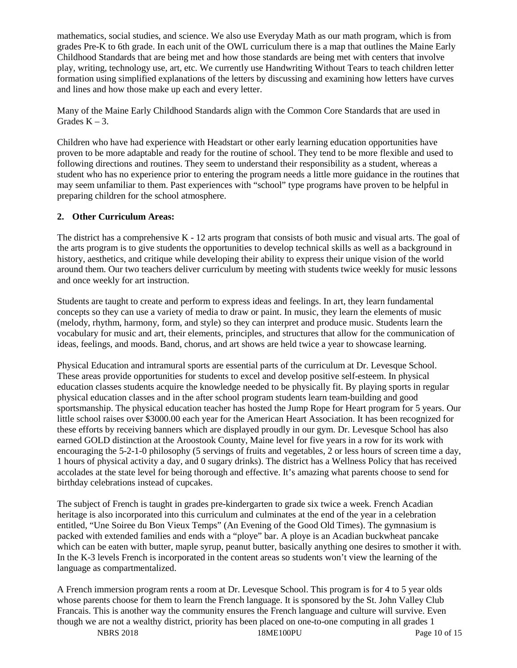mathematics, social studies, and science. We also use Everyday Math as our math program, which is from grades Pre-K to 6th grade. In each unit of the OWL curriculum there is a map that outlines the Maine Early Childhood Standards that are being met and how those standards are being met with centers that involve play, writing, technology use, art, etc. We currently use Handwriting Without Tears to teach children letter formation using simplified explanations of the letters by discussing and examining how letters have curves and lines and how those make up each and every letter.

Many of the Maine Early Childhood Standards align with the Common Core Standards that are used in Grades  $K - 3$ .

Children who have had experience with Headstart or other early learning education opportunities have proven to be more adaptable and ready for the routine of school. They tend to be more flexible and used to following directions and routines. They seem to understand their responsibility as a student, whereas a student who has no experience prior to entering the program needs a little more guidance in the routines that may seem unfamiliar to them. Past experiences with "school" type programs have proven to be helpful in preparing children for the school atmosphere.

## **2. Other Curriculum Areas:**

The district has a comprehensive  $K - 12$  arts program that consists of both music and visual arts. The goal of the arts program is to give students the opportunities to develop technical skills as well as a background in history, aesthetics, and critique while developing their ability to express their unique vision of the world around them. Our two teachers deliver curriculum by meeting with students twice weekly for music lessons and once weekly for art instruction.

Students are taught to create and perform to express ideas and feelings. In art, they learn fundamental concepts so they can use a variety of media to draw or paint. In music, they learn the elements of music (melody, rhythm, harmony, form, and style) so they can interpret and produce music. Students learn the vocabulary for music and art, their elements, principles, and structures that allow for the communication of ideas, feelings, and moods. Band, chorus, and art shows are held twice a year to showcase learning.

Physical Education and intramural sports are essential parts of the curriculum at Dr. Levesque School. These areas provide opportunities for students to excel and develop positive self-esteem. In physical education classes students acquire the knowledge needed to be physically fit. By playing sports in regular physical education classes and in the after school program students learn team-building and good sportsmanship. The physical education teacher has hosted the Jump Rope for Heart program for 5 years. Our little school raises over \$3000.00 each year for the American Heart Association. It has been recognized for these efforts by receiving banners which are displayed proudly in our gym. Dr. Levesque School has also earned GOLD distinction at the Aroostook County, Maine level for five years in a row for its work with encouraging the 5-2-1-0 philosophy (5 servings of fruits and vegetables, 2 or less hours of screen time a day, 1 hours of physical activity a day, and 0 sugary drinks). The district has a Wellness Policy that has received accolades at the state level for being thorough and effective. It's amazing what parents choose to send for birthday celebrations instead of cupcakes.

The subject of French is taught in grades pre-kindergarten to grade six twice a week. French Acadian heritage is also incorporated into this curriculum and culminates at the end of the year in a celebration entitled, "Une Soiree du Bon Vieux Temps" (An Evening of the Good Old Times). The gymnasium is packed with extended families and ends with a "ploye" bar. A ploye is an Acadian buckwheat pancake which can be eaten with butter, maple syrup, peanut butter, basically anything one desires to smother it with. In the K-3 levels French is incorporated in the content areas so students won't view the learning of the language as compartmentalized.

A French immersion program rents a room at Dr. Levesque School. This program is for 4 to 5 year olds whose parents choose for them to learn the French language. It is sponsored by the St. John Valley Club Francais. This is another way the community ensures the French language and culture will survive. Even though we are not a wealthy district, priority has been placed on one-to-one computing in all grades 1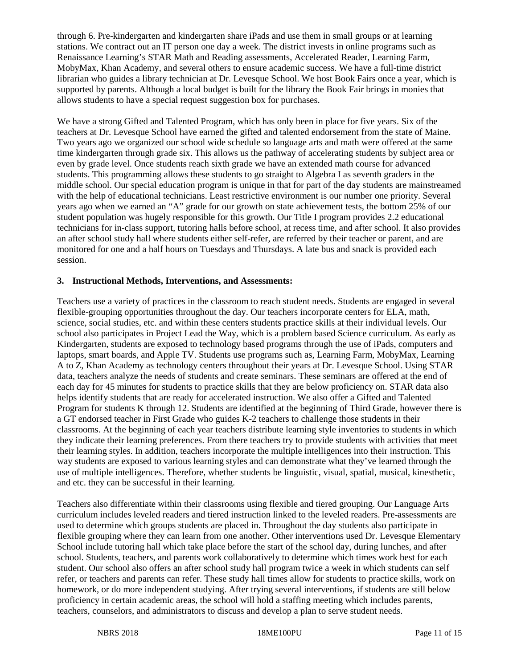through 6. Pre-kindergarten and kindergarten share iPads and use them in small groups or at learning stations. We contract out an IT person one day a week. The district invests in online programs such as Renaissance Learning's STAR Math and Reading assessments, Accelerated Reader, Learning Farm, MobyMax, Khan Academy, and several others to ensure academic success. We have a full-time district librarian who guides a library technician at Dr. Levesque School. We host Book Fairs once a year, which is supported by parents. Although a local budget is built for the library the Book Fair brings in monies that allows students to have a special request suggestion box for purchases.

We have a strong Gifted and Talented Program, which has only been in place for five years. Six of the teachers at Dr. Levesque School have earned the gifted and talented endorsement from the state of Maine. Two years ago we organized our school wide schedule so language arts and math were offered at the same time kindergarten through grade six. This allows us the pathway of accelerating students by subject area or even by grade level. Once students reach sixth grade we have an extended math course for advanced students. This programming allows these students to go straight to Algebra I as seventh graders in the middle school. Our special education program is unique in that for part of the day students are mainstreamed with the help of educational technicians. Least restrictive environment is our number one priority. Several years ago when we earned an "A" grade for our growth on state achievement tests, the bottom 25% of our student population was hugely responsible for this growth. Our Title I program provides 2.2 educational technicians for in-class support, tutoring halls before school, at recess time, and after school. It also provides an after school study hall where students either self-refer, are referred by their teacher or parent, and are monitored for one and a half hours on Tuesdays and Thursdays. A late bus and snack is provided each session.

#### **3. Instructional Methods, Interventions, and Assessments:**

Teachers use a variety of practices in the classroom to reach student needs. Students are engaged in several flexible-grouping opportunities throughout the day. Our teachers incorporate centers for ELA, math, science, social studies, etc. and within these centers students practice skills at their individual levels. Our school also participates in Project Lead the Way, which is a problem based Science curriculum. As early as Kindergarten, students are exposed to technology based programs through the use of iPads, computers and laptops, smart boards, and Apple TV. Students use programs such as, Learning Farm, MobyMax, Learning A to Z, Khan Academy as technology centers throughout their years at Dr. Levesque School. Using STAR data, teachers analyze the needs of students and create seminars. These seminars are offered at the end of each day for 45 minutes for students to practice skills that they are below proficiency on. STAR data also helps identify students that are ready for accelerated instruction. We also offer a Gifted and Talented Program for students K through 12. Students are identified at the beginning of Third Grade, however there is a GT endorsed teacher in First Grade who guides K-2 teachers to challenge those students in their classrooms. At the beginning of each year teachers distribute learning style inventories to students in which they indicate their learning preferences. From there teachers try to provide students with activities that meet their learning styles. In addition, teachers incorporate the multiple intelligences into their instruction. This way students are exposed to various learning styles and can demonstrate what they've learned through the use of multiple intelligences. Therefore, whether students be linguistic, visual, spatial, musical, kinesthetic, and etc. they can be successful in their learning.

Teachers also differentiate within their classrooms using flexible and tiered grouping. Our Language Arts curriculum includes leveled readers and tiered instruction linked to the leveled readers. Pre-assessments are used to determine which groups students are placed in. Throughout the day students also participate in flexible grouping where they can learn from one another. Other interventions used Dr. Levesque Elementary School include tutoring hall which take place before the start of the school day, during lunches, and after school. Students, teachers, and parents work collaboratively to determine which times work best for each student. Our school also offers an after school study hall program twice a week in which students can self refer, or teachers and parents can refer. These study hall times allow for students to practice skills, work on homework, or do more independent studying. After trying several interventions, if students are still below proficiency in certain academic areas, the school will hold a staffing meeting which includes parents, teachers, counselors, and administrators to discuss and develop a plan to serve student needs.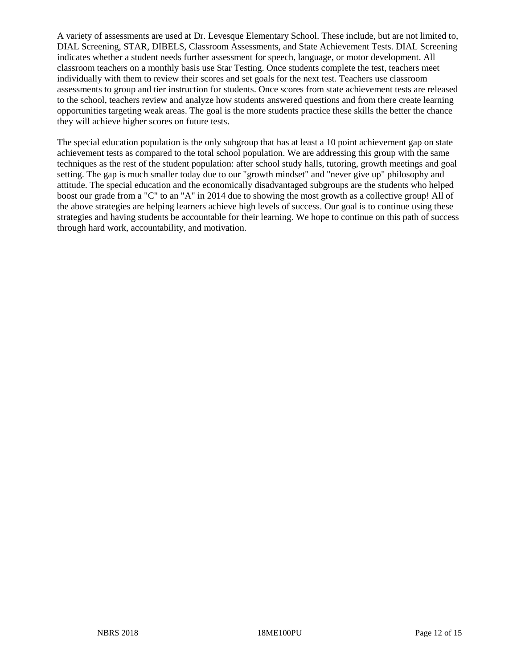A variety of assessments are used at Dr. Levesque Elementary School. These include, but are not limited to, DIAL Screening, STAR, DIBELS, Classroom Assessments, and State Achievement Tests. DIAL Screening indicates whether a student needs further assessment for speech, language, or motor development. All classroom teachers on a monthly basis use Star Testing. Once students complete the test, teachers meet individually with them to review their scores and set goals for the next test. Teachers use classroom assessments to group and tier instruction for students. Once scores from state achievement tests are released to the school, teachers review and analyze how students answered questions and from there create learning opportunities targeting weak areas. The goal is the more students practice these skills the better the chance they will achieve higher scores on future tests.

The special education population is the only subgroup that has at least a 10 point achievement gap on state achievement tests as compared to the total school population. We are addressing this group with the same techniques as the rest of the student population: after school study halls, tutoring, growth meetings and goal setting. The gap is much smaller today due to our "growth mindset" and "never give up" philosophy and attitude. The special education and the economically disadvantaged subgroups are the students who helped boost our grade from a "C" to an "A" in 2014 due to showing the most growth as a collective group! All of the above strategies are helping learners achieve high levels of success. Our goal is to continue using these strategies and having students be accountable for their learning. We hope to continue on this path of success through hard work, accountability, and motivation.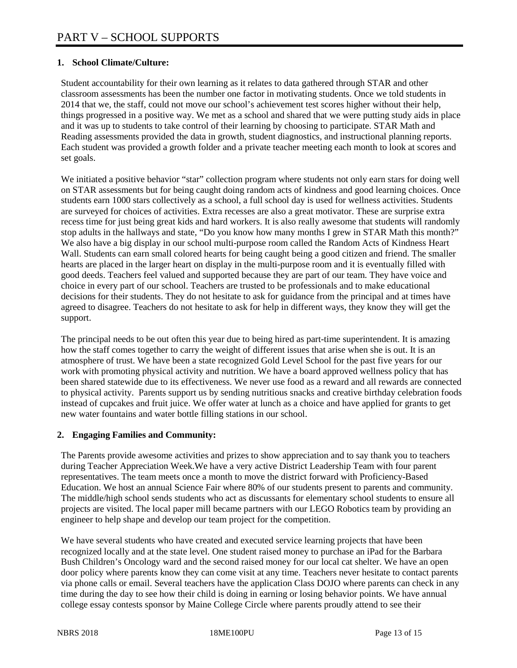# **1. School Climate/Culture:**

Student accountability for their own learning as it relates to data gathered through STAR and other classroom assessments has been the number one factor in motivating students. Once we told students in 2014 that we, the staff, could not move our school's achievement test scores higher without their help, things progressed in a positive way. We met as a school and shared that we were putting study aids in place and it was up to students to take control of their learning by choosing to participate. STAR Math and Reading assessments provided the data in growth, student diagnostics, and instructional planning reports. Each student was provided a growth folder and a private teacher meeting each month to look at scores and set goals.

We initiated a positive behavior "star" collection program where students not only earn stars for doing well on STAR assessments but for being caught doing random acts of kindness and good learning choices. Once students earn 1000 stars collectively as a school, a full school day is used for wellness activities. Students are surveyed for choices of activities. Extra recesses are also a great motivator. These are surprise extra recess time for just being great kids and hard workers. It is also really awesome that students will randomly stop adults in the hallways and state, "Do you know how many months I grew in STAR Math this month?" We also have a big display in our school multi-purpose room called the Random Acts of Kindness Heart Wall. Students can earn small colored hearts for being caught being a good citizen and friend. The smaller hearts are placed in the larger heart on display in the multi-purpose room and it is eventually filled with good deeds. Teachers feel valued and supported because they are part of our team. They have voice and choice in every part of our school. Teachers are trusted to be professionals and to make educational decisions for their students. They do not hesitate to ask for guidance from the principal and at times have agreed to disagree. Teachers do not hesitate to ask for help in different ways, they know they will get the support.

The principal needs to be out often this year due to being hired as part-time superintendent. It is amazing how the staff comes together to carry the weight of different issues that arise when she is out. It is an atmosphere of trust. We have been a state recognized Gold Level School for the past five years for our work with promoting physical activity and nutrition. We have a board approved wellness policy that has been shared statewide due to its effectiveness. We never use food as a reward and all rewards are connected to physical activity. Parents support us by sending nutritious snacks and creative birthday celebration foods instead of cupcakes and fruit juice. We offer water at lunch as a choice and have applied for grants to get new water fountains and water bottle filling stations in our school.

#### **2. Engaging Families and Community:**

The Parents provide awesome activities and prizes to show appreciation and to say thank you to teachers during Teacher Appreciation Week.We have a very active District Leadership Team with four parent representatives. The team meets once a month to move the district forward with Proficiency-Based Education. We host an annual Science Fair where 80% of our students present to parents and community. The middle/high school sends students who act as discussants for elementary school students to ensure all projects are visited. The local paper mill became partners with our LEGO Robotics team by providing an engineer to help shape and develop our team project for the competition.

We have several students who have created and executed service learning projects that have been recognized locally and at the state level. One student raised money to purchase an iPad for the Barbara Bush Children's Oncology ward and the second raised money for our local cat shelter. We have an open door policy where parents know they can come visit at any time. Teachers never hesitate to contact parents via phone calls or email. Several teachers have the application Class DOJO where parents can check in any time during the day to see how their child is doing in earning or losing behavior points. We have annual college essay contests sponsor by Maine College Circle where parents proudly attend to see their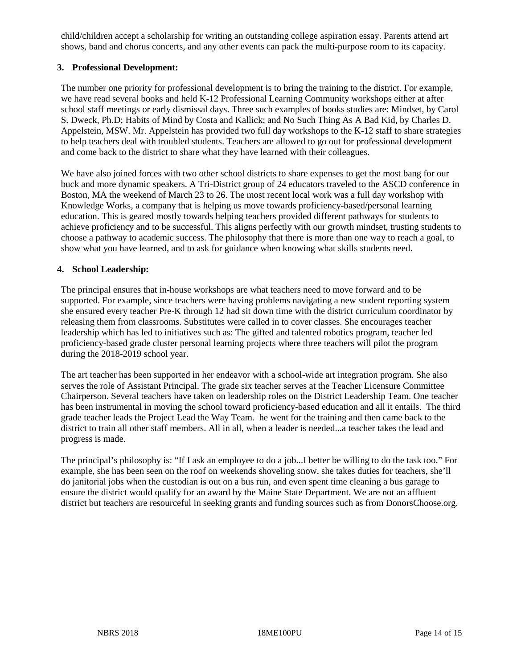child/children accept a scholarship for writing an outstanding college aspiration essay. Parents attend art shows, band and chorus concerts, and any other events can pack the multi-purpose room to its capacity.

## **3. Professional Development:**

The number one priority for professional development is to bring the training to the district. For example, we have read several books and held K-12 Professional Learning Community workshops either at after school staff meetings or early dismissal days. Three such examples of books studies are: Mindset, by Carol S. Dweck, Ph.D; Habits of Mind by Costa and Kallick; and No Such Thing As A Bad Kid, by Charles D. Appelstein, MSW. Mr. Appelstein has provided two full day workshops to the K-12 staff to share strategies to help teachers deal with troubled students. Teachers are allowed to go out for professional development and come back to the district to share what they have learned with their colleagues.

We have also joined forces with two other school districts to share expenses to get the most bang for our buck and more dynamic speakers. A Tri-District group of 24 educators traveled to the ASCD conference in Boston, MA the weekend of March 23 to 26. The most recent local work was a full day workshop with Knowledge Works, a company that is helping us move towards proficiency-based/personal learning education. This is geared mostly towards helping teachers provided different pathways for students to achieve proficiency and to be successful. This aligns perfectly with our growth mindset, trusting students to choose a pathway to academic success. The philosophy that there is more than one way to reach a goal, to show what you have learned, and to ask for guidance when knowing what skills students need.

## **4. School Leadership:**

The principal ensures that in-house workshops are what teachers need to move forward and to be supported. For example, since teachers were having problems navigating a new student reporting system she ensured every teacher Pre-K through 12 had sit down time with the district curriculum coordinator by releasing them from classrooms. Substitutes were called in to cover classes. She encourages teacher leadership which has led to initiatives such as: The gifted and talented robotics program, teacher led proficiency-based grade cluster personal learning projects where three teachers will pilot the program during the 2018-2019 school year.

The art teacher has been supported in her endeavor with a school-wide art integration program. She also serves the role of Assistant Principal. The grade six teacher serves at the Teacher Licensure Committee Chairperson. Several teachers have taken on leadership roles on the District Leadership Team. One teacher has been instrumental in moving the school toward proficiency-based education and all it entails. The third grade teacher leads the Project Lead the Way Team. he went for the training and then came back to the district to train all other staff members. All in all, when a leader is needed...a teacher takes the lead and progress is made.

The principal's philosophy is: "If I ask an employee to do a job...I better be willing to do the task too." For example, she has been seen on the roof on weekends shoveling snow, she takes duties for teachers, she'll do janitorial jobs when the custodian is out on a bus run, and even spent time cleaning a bus garage to ensure the district would qualify for an award by the Maine State Department. We are not an affluent district but teachers are resourceful in seeking grants and funding sources such as from DonorsChoose.org.